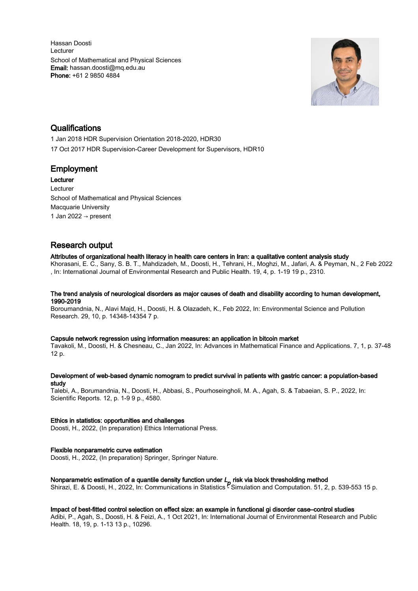Hassan Doosti Lecturer School of Mathematical and Physical Sciences Email: hassan.doosti@mq.edu.au Phone: +61 2 9850 4884



## **Qualifications**

1 Jan 2018 HDR Supervision Orientation 2018-2020, HDR30 17 Oct 2017 HDR Supervision-Career Development for Supervisors, HDR10

## Employment

Lecturer Lecturer School of Mathematical and Physical Sciences Macquarie University 1 Jan 2022  $\rightarrow$  present

# Research output

## Attributes of organizational health literacy in health care centers in Iran: a qualitative content analysis study

Khorasani, E. C., Sany, S. B. T., Mahdizadeh, M., Doosti, H., Tehrani, H., Moghzi, M., Jafari, A. & Peyman, N., 2 Feb 2022 , In: International Journal of Environmental Research and Public Health. 19, 4, p. 1-19 19 p., 2310.

## The trend analysis of neurological disorders as major causes of death and disability according to human development, 1990-2019

Boroumandnia, N., Alavi Majd, H., Doosti, H. & Olazadeh, K., Feb 2022, In: Environmental Science and Pollution Research. 29, 10, p. 14348-14354 7 p.

## Capsule network regression using information measures: an application in bitcoin market

Tavakoli, M., Doosti, H. & Chesneau, C., Jan 2022, In: Advances in Mathematical Finance and Applications. 7, 1, p. 37-48 12 p.

## Development of web-based dynamic nomogram to predict survival in patients with gastric cancer: a population-based study

Talebi, A., Borumandnia, N., Doosti, H., Abbasi, S., Pourhoseingholi, M. A., Agah, S. & Tabaeian, S. P., 2022, In: Scientific Reports. 12, p. 1-9 9 p., 4580.

## Ethics in statistics: opportunities and challenges

Doosti, H., 2022, (In preparation) Ethics International Press.

## Flexible nonparametric curve estimation

Doosti, H., 2022, (In preparation) Springer, Springer Nature.

## Nonparametric estimation of a quantile density function under  $L_p$  risk via block thresholding method

Shirazi, E. & Doosti, H., 2022, In: Communications in Statistics - Simulation and Computation. 51, 2, p. 539-553 15 p.

## Impact of best-fitted control selection on effect size: an example in functional gi disorder case–control studies

Adibi, P., Agah, S., Doosti, H. & Feizi, A., 1 Oct 2021, In: International Journal of Environmental Research and Public Health. 18, 19, p. 1-13 13 p., 10296.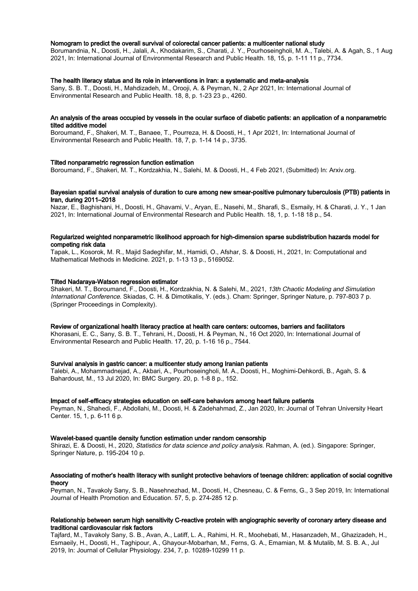#### Nomogram to predict the overall survival of colorectal cancer patients: a multicenter national study

Borumandnia, N., Doosti, H., Jalali, A., Khodakarim, S., Charati, J. Y., Pourhoseingholi, M. A., Talebi, A. & Agah, S., 1 Aug 2021, In: International Journal of Environmental Research and Public Health. 18, 15, p. 1-11 11 p., 7734.

#### The health literacy status and its role in interventions in Iran: a systematic and meta-analysis

Sany, S. B. T., Doosti, H., Mahdizadeh, M., Orooji, A. & Peyman, N., 2 Apr 2021, In: International Journal of Environmental Research and Public Health. 18, 8, p. 1-23 23 p., 4260.

#### An analysis of the areas occupied by vessels in the ocular surface of diabetic patients: an application of a nonparametric tilted additive model

Boroumand, F., Shakeri, M. T., Banaee, T., Pourreza, H. & Doosti, H., 1 Apr 2021, In: International Journal of Environmental Research and Public Health. 18, 7, p. 1-14 14 p., 3735.

#### Tilted nonparametric regression function estimation

Boroumand, F., Shakeri, M. T., Kordzakhia, N., Salehi, M. & Doosti, H., 4 Feb 2021, (Submitted) In: Arxiv.org.

### Bayesian spatial survival analysis of duration to cure among new smear-positive pulmonary tuberculosis (PTB) patients in Iran, during 2011–2018

Nazar, E., Baghishani, H., Doosti, H., Ghavami, V., Aryan, E., Nasehi, M., Sharafi, S., Esmaily, H. & Charati, J. Y., 1 Jan 2021, In: International Journal of Environmental Research and Public Health. 18, 1, p. 1-18 18 p., 54.

## Regularized weighted nonparametric likelihood approach for high-dimension sparse subdistribution hazards model for competing risk data

Tapak, L., Kosorok, M. R., Majid Sadeghifar, M., Hamidi, O., Afshar, S. & Doosti, H., 2021, In: Computational and Mathematical Methods in Medicine. 2021, p. 1-13 13 p., 5169052.

#### Tilted Nadaraya-Watson regression estimator

Shakeri, M. T., Boroumand, F., Doosti, H., Kordzakhia, N. & Salehi, M., 2021, 13th Chaotic Modeling and Simulation International Conference. Skiadas, C. H. & Dimotikalis, Y. (eds.). Cham: Springer, Springer Nature, p. 797-803 7 p. (Springer Proceedings in Complexity).

#### Review of organizational health literacy practice at health care centers: outcomes, barriers and facilitators

Khorasani, E. C., Sany, S. B. T., Tehrani, H., Doosti, H. & Peyman, N., 16 Oct 2020, In: International Journal of Environmental Research and Public Health. 17, 20, p. 1-16 16 p., 7544.

### Survival analysis in gastric cancer: a multicenter study among Iranian patients

Talebi, A., Mohammadnejad, A., Akbari, A., Pourhoseingholi, M. A., Doosti, H., Moghimi-Dehkordi, B., Agah, S. & Bahardoust, M., 13 Jul 2020, In: BMC Surgery. 20, p. 1-8 8 p., 152.

#### Impact of self-efficacy strategies education on self-care behaviors among heart failure patients

Peyman, N., Shahedi, F., Abdollahi, M., Doosti, H. & Zadehahmad, Z., Jan 2020, In: Journal of Tehran University Heart Center. 15, 1, p. 6-11 6 p.

#### Wavelet-based quantile density function estimation under random censorship

Shirazi, E. & Doosti, H., 2020, Statistics for data science and policy analysis. Rahman, A. (ed.). Singapore: Springer, Springer Nature, p. 195-204 10 p.

## Associating of mother's health literacy with sunlight protective behaviors of teenage children: application of social cognitive theory

Peyman, N., Tavakoly Sany, S. B., Nasehnezhad, M., Doosti, H., Chesneau, C. & Ferns, G., 3 Sep 2019, In: International Journal of Health Promotion and Education. 57, 5, p. 274-285 12 p.

## Relationship between serum high sensitivity C-reactive protein with angiographic severity of coronary artery disease and traditional cardiovascular risk factors

Tajfard, M., Tavakoly Sany, S. B., Avan, A., Latiff, L. A., Rahimi, H. R., Moohebati, M., Hasanzadeh, M., Ghazizadeh, H., Esmaeily, H., Doosti, H., Taghipour, A., Ghayour-Mobarhan, M., Ferns, G. A., Emamian, M. & Mutalib, M. S. B. A., Jul 2019, In: Journal of Cellular Physiology. 234, 7, p. 10289-10299 11 p.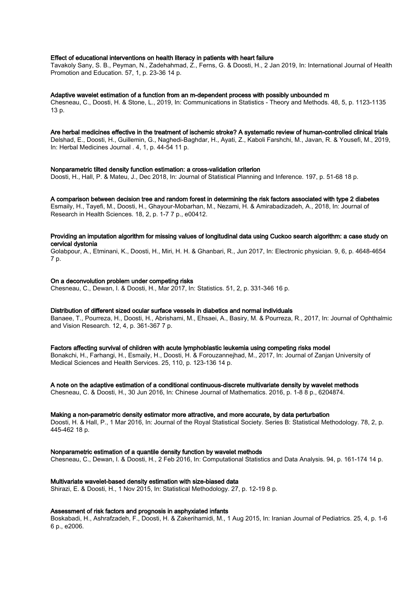#### Effect of educational interventions on health literacy in patients with heart failure

Tavakoly Sany, S. B., Peyman, N., Zadehahmad, Z., Ferns, G. & Doosti, H., 2 Jan 2019, In: International Journal of Health Promotion and Education. 57, 1, p. 23-36 14 p.

#### Adaptive wavelet estimation of a function from an m-dependent process with possibly unbounded m

Chesneau, C., Doosti, H. & Stone, L., 2019, In: Communications in Statistics - Theory and Methods. 48, 5, p. 1123-1135 13 p.

## Are herbal medicines effective in the treatment of ischemic stroke? A systematic review of human-controlled clinical trials

Delshad, E., Doosti, H., Guillemin, G., Naghedi-Baghdar, H., Ayati, Z., Kaboli Farshchi, M., Javan, R. & Yousefi, M., 2019, In: Herbal Medicines Journal . 4, 1, p. 44-54 11 p.

#### Nonparametric tilted density function estimation: a cross-validation criterion

Doosti, H., Hall, P. & Mateu, J., Dec 2018, In: Journal of Statistical Planning and Inference. 197, p. 51-68 18 p.

#### A comparison between decision tree and random forest in determining the risk factors associated with type 2 diabetes

Esmaily, H., Tayefi, M., Doosti, H., Ghayour-Mobarhan, M., Nezami, H. & Amirabadizadeh, A., 2018, In: Journal of Research in Health Sciences. 18, 2, p. 1-7 7 p., e00412.

## Providing an imputation algorithm for missing values of longitudinal data using Cuckoo search algorithm: a case study on cervical dystonia

Golabpour, A., Etminani, K., Doosti, H., Miri, H. H. & Ghanbari, R., Jun 2017, In: Electronic physician. 9, 6, p. 4648-4654 7 p.

#### On a deconvolution problem under competing risks

Chesneau, C., Dewan, I. & Doosti, H., Mar 2017, In: Statistics. 51, 2, p. 331-346 16 p.

## Distribution of different sized ocular surface vessels in diabetics and normal individuals

Banaee, T., Pourreza, H., Doosti, H., Abrishami, M., Ehsaei, A., Basiry, M. & Pourreza, R., 2017, In: Journal of Ophthalmic and Vision Research. 12, 4, p. 361-367 7 p.

#### Factors affecting survival of children with acute lymphoblastic leukemia using competing risks model

Bonakchi, H., Farhangi, H., Esmaily, H., Doosti, H. & Forouzannejhad, M., 2017, In: Journal of Zanjan University of Medical Sciences and Health Services. 25, 110, p. 123-136 14 p.

## A note on the adaptive estimation of a conditional continuous-discrete multivariate density by wavelet methods

Chesneau, C. & Doosti, H., 30 Jun 2016, In: Chinese Journal of Mathematics. 2016, p. 1-8 8 p., 6204874.

#### Making a non-parametric density estimator more attractive, and more accurate, by data perturbation

Doosti, H. & Hall, P., 1 Mar 2016, In: Journal of the Royal Statistical Society. Series B: Statistical Methodology. 78, 2, p. 445-462 18 p.

#### Nonparametric estimation of a quantile density function by wavelet methods

Chesneau, C., Dewan, I. & Doosti, H., 2 Feb 2016, In: Computational Statistics and Data Analysis. 94, p. 161-174 14 p.

## Multivariate wavelet-based density estimation with size-biased data

Shirazi, E. & Doosti, H., 1 Nov 2015, In: Statistical Methodology. 27, p. 12-19 8 p.

## Assessment of risk factors and prognosis in asphyxiated infants

Boskabadi, H., Ashrafzadeh, F., Doosti, H. & Zakerihamidi, M., 1 Aug 2015, In: Iranian Journal of Pediatrics. 25, 4, p. 1-6 6 p., e2006.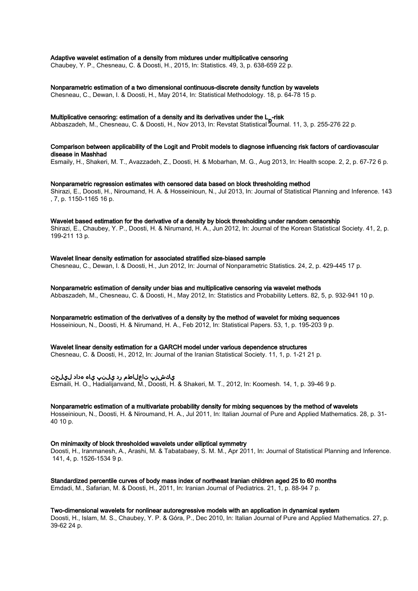#### Adaptive wavelet estimation of a density from mixtures under multiplicative censoring

Chaubey, Y. P., Chesneau, C. & Doosti, H., 2015, In: Statistics. 49, 3, p. 638-659 22 p.

## Nonparametric estimation of a two dimensional continuous-discrete density function by wavelets

Chesneau, C., Dewan, I. & Doosti, H., May 2014, In: Statistical Methodology. 18, p. 64-78 15 p.

## Multiplicative censoring: estimation of a density and its derivatives under the L<sub>P</sub>-risk<br>Althorazately Mu Character C. 8 Dead: U. New 2012, lex Devetet Otatistical Baywe

Abbaszadeh, M., Chesneau, C. & Doosti, H., Nov 2013, In: Revstat Statistical Journal. 11, 3, p. 255-276 22 p.

## Comparison between applicability of the Logit and Probit models to diagnose influencing risk factors of cardiovascular disease in Mashhad

Esmaily, H., Shakeri, M. T., Avazzadeh, Z., Doosti, H. & Mobarhan, M. G., Aug 2013, In: Health scope. 2, 2, p. 67-72 6 p.

#### Nonparametric regression estimates with censored data based on block thresholding method

Shirazi, E., Doosti, H., Niroumand, H. A. & Hosseinioun, N., Jul 2013, In: Journal of Statistical Planning and Inference. 143 , 7, p. 1150-1165 16 p.

#### Wavelet based estimation for the derivative of a density by block thresholding under random censorship

Shirazi, E., Chaubey, Y. P., Doosti, H. & Nirumand, H. A., Jun 2012, In: Journal of the Korean Statistical Society. 41, 2, p. 199-211 13 p.

## Wavelet linear density estimation for associated stratified size-biased sample

Chesneau, C., Dewan, I. & Doosti, H., Jun 2012, In: Journal of Nonparametric Statistics. 24, 2, p. 429-445 17 p.

#### Nonparametric estimation of density under bias and multiplicative censoring via wavelet methods Abbaszadeh, M., Chesneau, C. & Doosti, H., May 2012, In: Statistics and Probability Letters. 82, 5, p. 932-941 10 p.

### Nonparametric estimation of the derivatives of a density by the method of wavelet for mixing sequences

Hosseinioun, N., Doosti, H. & Nirumand, H. A., Feb 2012, In: Statistical Papers. 53, 1, p. 195-203 9 p.

#### Wavelet linear density estimation for a GARCH model under various dependence structures

Chesneau, C. & Doosti, H., 2012, In: Journal of the Iranian Statistical Society. 11, 1, p. 1-21 21 p.

## يكشزپ تاعلاطم رد يلنپ ياه هداد ليلحت

Esmaili, H. O., Hadialijanvand, M., Doosti, H. & Shakeri, M. T., 2012, In: Koomesh. 14, 1, p. 39-46 9 p.

## Nonparametric estimation of a multivariate probability density for mixing sequences by the method of wavelets

Hosseinioun, N., Doosti, H. & Niroumand, H. A., Jul 2011, In: Italian Journal of Pure and Applied Mathematics. 28, p. 31- 40 10 p.

## On minimaxity of block thresholded wavelets under elliptical symmetry

Doosti, H., Iranmanesh, A., Arashi, M. & Tabatabaey, S. M. M., Apr 2011, In: Journal of Statistical Planning and Inference. 141, 4, p. 1526-1534 9 p.

## Standardized percentile curves of body mass index of northeast Iranian children aged 25 to 60 months

Emdadi, M., Safarian, M. & Doosti, H., 2011, In: Iranian Journal of Pediatrics. 21, 1, p. 88-94 7 p.

## Two-dimensional wavelets for nonlinear autoregressive models with an application in dynamical system

Doosti, H., Islam, M. S., Chaubey, Y. P. & Góra, P., Dec 2010, In: Italian Journal of Pure and Applied Mathematics. 27, p. 39-62 24 p.